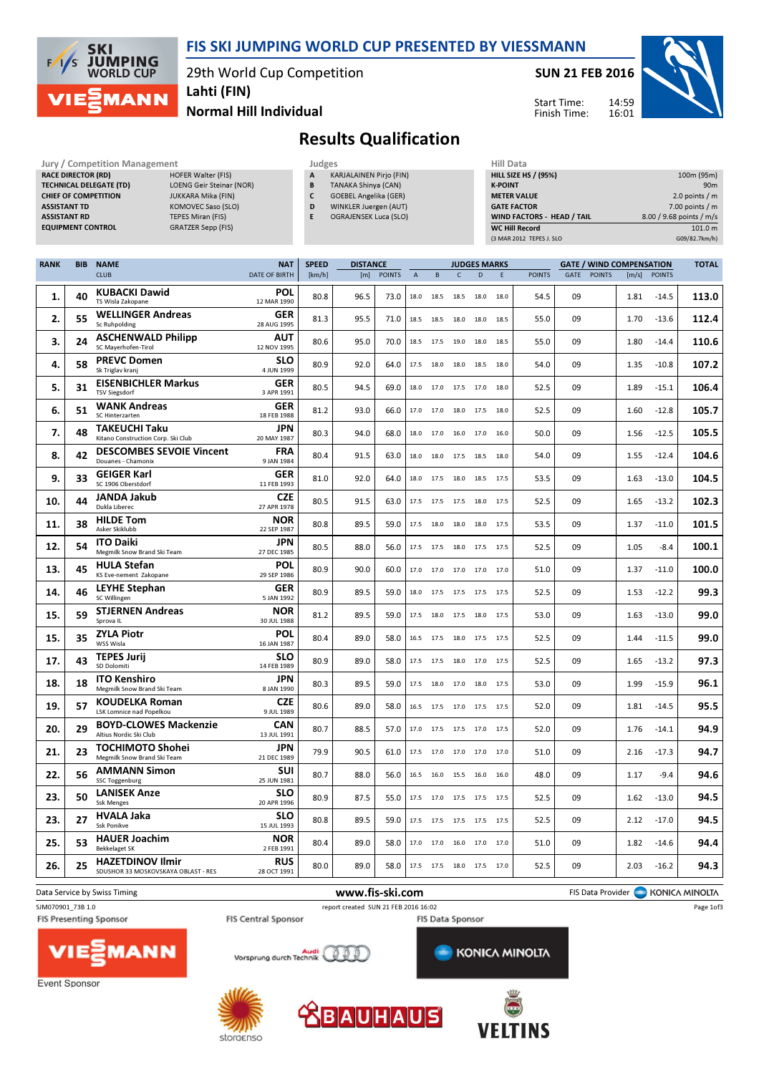

### FIS SKI JUMPING WORLD CUP PRESENTED BY VIESSMANN

29th World Cup Competition

SUN 21 FEB 2016

Start Time: Finish Time:



Normal Hill Individual Lahti (FIN)

## Results Qualification

| Jury / Competition Management  |                                 |  |   |                |  |  |  |  |
|--------------------------------|---------------------------------|--|---|----------------|--|--|--|--|
| <b>RACE DIRECTOR (RD)</b>      | <b>HOFER Walter (FIS)</b>       |  | A | K/             |  |  |  |  |
| <b>TECHNICAL DELEGATE (TD)</b> | <b>LOENG Geir Steinar (NOR)</b> |  | B | TA             |  |  |  |  |
| <b>CHIEF OF COMPETITION</b>    | <b>JUKKARA Mika (FIN)</b>       |  | C | G <sub>0</sub> |  |  |  |  |
| <b>ASSISTANT TD</b>            | <b>KOMOVEC Saso (SLO)</b>       |  | D | W              |  |  |  |  |
| <b>ASSISTANT RD</b>            | <b>TEPES Miran (FIS)</b>        |  | E | O <sub>0</sub> |  |  |  |  |
| <b>EQUIPMENT CONTROL</b>       | <b>GRATZER Sepp (FIS)</b>       |  |   |                |  |  |  |  |
|                                |                                 |  |   |                |  |  |  |  |

- KARJALAINEN Pirjo (FIN) B TANAKA Shinya (CAN) C GOEBEL Angelika (GER) D WINKLER Juergen (AUT)
- E OGRAJENSEK Luca (SLO)

| нііі рата                   |                          |
|-----------------------------|--------------------------|
| <b>HILL SIZE HS / (95%)</b> | 100m (95m)               |
| <b>K-POINT</b>              | 90 <sub>m</sub>          |
| <b>METER VALUE</b>          | 2.0 points $/m$          |
| <b>GATE FACTOR</b>          | $7.00$ points / m        |
| WIND FACTORS - HEAD / TAIL  | 8.00 / 9.68 points / m/s |
| <b>WC Hill Record</b>       | 101.0 m                  |
| (3 MAR 2012 TEPES J. SLO    | G09/82.7km/h)            |

| <b>RANK</b> | <b>BIB</b><br><b>NAME</b><br><b>NAT</b><br><b>SPEED</b><br><b>DISTANCE</b><br><b>JUDGES MARKS</b> |                                                                                   |                                        |        |                 |               | <b>GATE / WIND COMPENSATION</b> |                          |              |                | <b>TOTAL</b> |               |      |               |       |               |                                    |
|-------------|---------------------------------------------------------------------------------------------------|-----------------------------------------------------------------------------------|----------------------------------------|--------|-----------------|---------------|---------------------------------|--------------------------|--------------|----------------|--------------|---------------|------|---------------|-------|---------------|------------------------------------|
|             |                                                                                                   | <b>CLUB</b>                                                                       | <b>DATE OF BIRTH</b>                   | [km/h] | [m]             | <b>POINTS</b> | $\overline{A}$                  | B                        | $\mathsf{C}$ | D              | E            | <b>POINTS</b> | GATE | <b>POINTS</b> | [m/s] | <b>POINTS</b> |                                    |
| 1.          | 40                                                                                                | <b>KUBACKI Dawid</b><br>TS Wisla Zakopane                                         | <b>POL</b><br>12 MAR 1990              | 80.8   | 96.5            | 73.0          | 18.0                            | 18.5                     | 18.5         | 18.0           | 18.0         | 54.5          | 09   |               | 1.81  | $-14.5$       | 113.0                              |
| 2.          | 55                                                                                                | <b>WELLINGER Andreas</b><br>Sc Ruhpolding                                         | <b>GER</b><br>28 AUG 1995              | 81.3   | 95.5            | 71.0          | 18.5                            | 18.5                     | 18.0         | 18.0           | 18.5         | 55.0          | 09   |               | 1.70  | $-13.6$       | 112.4                              |
| 3.          | 24                                                                                                | <b>ASCHENWALD Philipp</b><br>SC Mayerhofen-Tirol                                  | <b>AUT</b><br>12 NOV 1995              | 80.6   | 95.0            | 70.0          | 18.5                            | 17.5                     | 19.0         | 18.0           | 18.5         | 55.0          | 09   |               | 1.80  | $-14.4$       | 110.6                              |
| 4.          | 58                                                                                                | <b>PREVC Domen</b><br>Sk Triglav kranj                                            | <b>SLO</b><br>4 JUN 1999               | 80.9   | 92.0            | 64.0          | 17.5                            | 18.0                     | 18.0 18.5    |                | 18.0         | 54.0          | 09   |               | 1.35  | $-10.8$       | 107.2                              |
| 5.          | 31                                                                                                | <b>EISENBICHLER Markus</b><br><b>TSV Siegsdorf</b>                                | <b>GER</b><br>3 APR 1991               | 80.5   | 94.5            | 69.0          | 18.0                            | 17.0                     |              | 17.5 17.0      | 18.0         | 52.5          | 09   |               | 1.89  | -15.1         | 106.4                              |
| 6.          | 51                                                                                                | <b>WANK Andreas</b><br>SC Hinterzarten                                            | <b>GER</b><br>18 FEB 1988              | 81.2   | 93.0            | 66.0          | 17.0                            | 17.0                     | 18.0         | 17.5           | 18.0         | 52.5          | 09   |               | 1.60  | $-12.8$       | 105.7                              |
| 7.          | 48                                                                                                | <b>TAKEUCHI Taku</b><br>Kitano Construction Corp. Ski Club                        | <b>JPN</b><br>20 MAY 1987              | 80.3   | 94.0            | 68.0          | 18.0                            | 17.0                     |              | 16.0 17.0      | 16.0         | 50.0          | 09   |               | 1.56  | $-12.5$       | 105.5                              |
| 8.          | 42                                                                                                | <b>DESCOMBES SEVOIE Vincent</b><br>Douanes - Chamonix                             | <b>FRA</b><br>9 JAN 1984               | 80.4   | 91.5            | 63.0          | 18.0                            | 18.0                     |              | 17.5 18.5      | 18.0         | 54.0          | 09   |               | 1.55  | $-12.4$       | 104.6                              |
| 9.          | 33                                                                                                | <b>GEIGER Karl</b><br>SC 1906 Oberstdorf                                          | <b>GER</b><br>11 FEB 1993              | 81.0   | 92.0            | 64.0          | 18.0                            | 17.5                     | 18.0         | 18.5           | 17.5         | 53.5          | 09   |               | 1.63  | $-13.0$       | 104.5                              |
| 10.         | 44                                                                                                | <b>JANDA Jakub</b><br>Dukla Liberec                                               | <b>CZE</b><br>27 APR 1978              | 80.5   | 91.5            | 63.0          |                                 | 17.5 17.5                | 17.5 18.0    |                | 17.5         | 52.5          | 09   |               | 1.65  | $-13.2$       | 102.3                              |
| 11.         | 38                                                                                                | <b>HILDE Tom</b><br>Asker Skiklubb                                                | <b>NOR</b><br>22 SEP 1987              | 80.8   | 89.5            | 59.0          | 17.5                            | 18.0                     |              | 18.0 18.0 17.5 |              | 53.5          | 09   |               | 1.37  | $-11.0$       | 101.5                              |
| 12.         | 54                                                                                                | <b>ITO Daiki</b><br>Megmilk Snow Brand Ski Team                                   | <b>JPN</b><br>27 DEC 1985              | 80.5   | 88.0            | 56.0          | 17.5                            | 17.5                     | 18.0         | 17.5           | 17.5         | 52.5          | 09   |               | 1.05  | $-8.4$        | 100.1                              |
| 13.         | 45                                                                                                | <b>HULA Stefan</b><br>KS Eve-nement Zakopane                                      | POL<br>29 SEP 1986                     | 80.9   | 90.0            | 60.0          |                                 | 17.0 17.0                |              | 17.0 17.0      | 17.0         | 51.0          | 09   |               | 1.37  | $-11.0$       | 100.0                              |
| 14.         | 46                                                                                                | <b>LEYHE Stephan</b><br>SC Willingen                                              | GER<br>5 JAN 1992                      | 80.9   | 89.5            | 59.0          | 18.0                            | 17.5                     |              | 17.5 17.5 17.5 |              | 52.5          | 09   |               | 1.53  | $-12.2$       | 99.3                               |
| 15.         | 59                                                                                                | <b>STJERNEN Andreas</b><br>Sprova IL                                              | <b>NOR</b><br>30 JUL 1988              | 81.2   | 89.5            | 59.0          | 17.5                            | 18.0                     | 17.5         | 18.0           | 17.5         | 53.0          | 09   |               | 1.63  | $-13.0$       | 99.0                               |
| 15.         | 35                                                                                                | <b>ZYLA Piotr</b><br>WSS Wisla                                                    | POL<br>16 JAN 1987                     | 80.4   | 89.0            | 58.0          | 16.5                            | 17.5                     |              | 18.0 17.5 17.5 |              | 52.5          | 09   |               | 1.44  | $-11.5$       | 99.0                               |
| 17.         | 43                                                                                                | <b>TEPES Jurij</b><br>SD Dolomiti                                                 | <b>SLO</b><br>14 FEB 1989              | 80.9   | 89.0            | 58.0          | 17.5                            | 17.5                     |              | 18.0 17.0      | 17.5         | 52.5          | 09   |               | 1.65  | $-13.2$       | 97.3                               |
| 18.         | 18                                                                                                | <b>ITO Kenshiro</b><br>Megmilk Snow Brand Ski Team                                | <b>JPN</b><br>8 JAN 1990               | 80.3   | 89.5            | 59.0          | 17.5                            | 18.0                     | 17.0         | 18.0           | 17.5         | 53.0          | 09   |               | 1.99  | $-15.9$       | 96.1                               |
| 19.         | 57                                                                                                | <b>KOUDELKA Roman</b><br>LSK Lomnice nad Popelkou<br><b>BOYD-CLOWES Mackenzie</b> | <b>CZE</b><br>9 JUL 1989<br><b>CAN</b> | 80.6   | 89.0            | 58.0          | 16.5                            | 17.5                     |              | 17.0 17.5 17.5 |              | 52.0          | 09   |               | 1.81  | $-14.5$       | 95.5                               |
| 20.         | 29                                                                                                | Altius Nordic Ski Club<br><b>TOCHIMOTO Shohei</b>                                 | 13 JUL 1991<br><b>JPN</b>              | 80.7   | 88.5            | 57.0          | 17.0                            | 17.5                     |              | 17.5 17.0      | 17.5         | 52.0          | 09   |               | 1.76  | $-14.1$       | 94.9                               |
| 21.         | 23                                                                                                | Megmilk Snow Brand Ski Team                                                       | 21 DEC 1989<br>SUI                     | 79.9   | 90.5            | 61.0          | 17.5                            | 17.0                     |              | 17.0 17.0      | 17.0         | 51.0          | 09   |               | 2.16  | $-17.3$       | 94.7                               |
| 22.         | 56                                                                                                | <b>AMMANN Simon</b><br>SSC Toggenburg                                             | 25 JUN 1981<br><b>SLO</b>              | 80.7   | 88.0            | 56.0          | 16.5                            | 16.0                     | 15.5 16.0    |                | 16.0         | 48.0          | 09   |               | 1.17  | $-9.4$        | 94.6                               |
| 23.         | 50                                                                                                | <b>LANISEK Anze</b><br><b>Ssk Menges</b><br><b>HVALA Jaka</b>                     | 20 APR 1996<br><b>SLO</b>              | 80.9   | 87.5            | 55.0          | 17.5                            | 17.0 17.5 17.5 17.5      |              |                |              | 52.5          | 09   |               | 1.62  | $-13.0$       | 94.5                               |
| 23.         | 27                                                                                                | <b>Ssk Ponikve</b><br><b>HAUER Joachim</b>                                        | 15 JUL 1993<br><b>NOR</b>              | 80.8   | 89.5            | 59.0          | 17.5                            | 17.5                     | 17.5 17.5    |                | 17.5         | 52.5          | 09   |               | 2.12  | $-17.0$       | 94.5                               |
| 25.         | 53                                                                                                | <b>Bekkelaget SK</b><br><b>HAZETDINOV Ilmir</b>                                   | 2 FEB 1991<br><b>RUS</b>               | 80.4   | 89.0            | 58.0          |                                 | 17.0 17.0 16.0 17.0      |              |                | 17.0         | 51.0          | 09   |               | 1.82  | $-14.6$       | 94.4                               |
| 26.         | 25                                                                                                | SDUSHOR 33 MOSKOVSKAYA OBLAST - RES                                               | 28 OCT 1991                            | 80.0   | 89.0            | 58.0          |                                 | 17.5 17.5 18.0 17.5 17.0 |              |                |              | 52.5          | 09   |               | 2.03  | $-16.2$       | 94.3                               |
|             |                                                                                                   | Data Service by Swiss Timing                                                      |                                        |        | www.fis-ski.com |               |                                 |                          |              |                |              |               |      |               |       |               | FIS Data Provider   KONICA MINOLTA |

**FIS Presenting Sponsor** 

SJM070901\_73B 1.0 report created SUN 21 FEB 2016 16:02

FIS Data Sponsor

Page 1of3



Event Sponsor



FIS Central Sponsor

Audi<br>Vorsprung durch Technik



ð



**KONICA MINOLTA**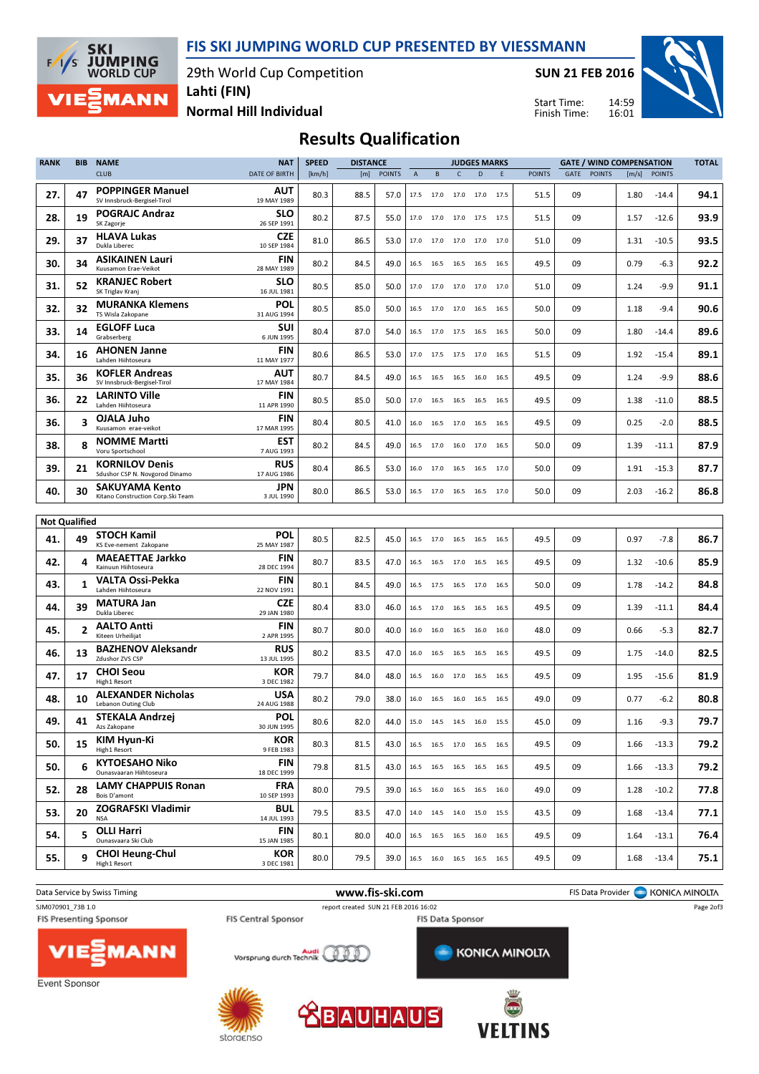FIS SKI JUMPING WORLD CUP PRESENTED BY VIESSMANN

29th World Cup Competition



Lahti (FIN)

SUN 21 FEB 2016



Normal Hill Individual

14:59 16:01 Start Time: Finish Time:

## Results Qualification

| <b>RANK</b> | <b>BIB</b>           | <b>NAME</b>                                                 | <b>NAT</b>                | <b>SPEED</b> | <b>DISTANCE</b> |               | <b>GATE / WIND COMPENSATION</b><br><b>JUDGES MARKS</b> |                                                        |                |                     | <b>TOTAL</b> |               |      |               |       |               |      |
|-------------|----------------------|-------------------------------------------------------------|---------------------------|--------------|-----------------|---------------|--------------------------------------------------------|--------------------------------------------------------|----------------|---------------------|--------------|---------------|------|---------------|-------|---------------|------|
|             |                      | <b>CLUB</b>                                                 | <b>DATE OF BIRTH</b>      | [km/h]       | [m]             | <b>POINTS</b> | $\overline{A}$                                         | B                                                      | $\mathsf{C}$   | D                   | E            | <b>POINTS</b> | GATE | <b>POINTS</b> | [m/s] | <b>POINTS</b> |      |
| 27.         | 47                   | <b>POPPINGER Manuel</b><br>SV Innsbruck-Bergisel-Tirol      | AUT<br>19 MAY 1989        | 80.3         | 88.5            | 57.0          |                                                        | 17.5 17.0 17.0 17.0 17.5                               |                |                     |              | 51.5          | 09   |               | 1.80  | $-14.4$       | 94.1 |
| 28.         | 19                   | <b>POGRAJC Andraz</b><br>SK Zagorje                         | <b>SLO</b><br>26 SEP 1991 | 80.2         | 87.5            | 55.0          |                                                        | 17.0 17.0 17.0 17.5 17.5                               |                |                     |              | 51.5          | 09   |               | 1.57  | $-12.6$       | 93.9 |
| 29.         | 37                   | <b>HLAVA Lukas</b><br>Dukla Liberec                         | CZE<br>10 SEP 1984        | 81.0         | 86.5            | 53.0          |                                                        | 17.0 17.0 17.0 17.0 17.0                               |                |                     |              | 51.0          | 09   |               | 1.31  | $-10.5$       | 93.5 |
| 30.         | 34                   | <b>ASIKAINEN Lauri</b><br>Kuusamon Erae-Veikot              | FIN<br>28 MAY 1989        | 80.2         | 84.5            | 49.0          | 16.5                                                   |                                                        |                | 16.5 16.5 16.5 16.5 |              | 49.5          | 09   |               | 0.79  | -6.3          | 92.2 |
| 31.         | 52                   | <b>KRANJEC Robert</b><br>SK Triglav Kranj                   | SLO<br>16 JUL 1981        | 80.5         | 85.0            | 50.0          |                                                        | 17.0 17.0 17.0 17.0 17.0                               |                |                     |              | 51.0          | 09   |               | 1.24  | $-9.9$        | 91.1 |
| 32.         | 32                   | <b>MURANKA Klemens</b><br>TS Wisla Zakopane                 | <b>POL</b><br>31 AUG 1994 | 80.5         | 85.0            | 50.0          | 16.5                                                   | 17.0 17.0 16.5                                         |                |                     | 16.5         | 50.0          | 09   |               | 1.18  | $-9.4$        | 90.6 |
| 33.         | 14                   | <b>EGLOFF Luca</b><br>Grabserberg                           | <b>SUI</b><br>6 JUN 1995  | 80.4         | 87.0            | 54.0          |                                                        | 16.5 17.0 17.5 16.5                                    |                |                     | - 16.5       | 50.0          | 09   |               | 1.80  | $-14.4$       | 89.6 |
| 34.         | 16                   | <b>AHONEN Janne</b><br>Lahden Hiihtoseura                   | FIN<br>11 MAY 1977        | 80.6         | 86.5            | 53.0          | 17.0                                                   | 17.5 17.5 17.0                                         |                |                     | 16.5         | 51.5          | 09   |               | 1.92  | $-15.4$       | 89.1 |
| 35.         | 36                   | <b>KOFLER Andreas</b><br>SV Innsbruck-Bergisel-Tirol        | AUT<br>17 MAY 1984        | 80.7         | 84.5            | 49.0          | 16.5                                                   | 16.5 16.5 16.0                                         |                |                     | 16.5         | 49.5          | 09   |               | 1.24  | $-9.9$        | 88.6 |
| 36.         | 22                   | <b>LARINTO Ville</b><br>Lahden Hiihtoseura                  | <b>FIN</b><br>11 APR 1990 | 80.5         | 85.0            | 50.0          | 17.0                                                   |                                                        | 16.5 16.5 16.5 |                     | - 16.5       | 49.5          | 09   |               | 1.38  | $-11.0$       | 88.5 |
| 36.         | 3                    | OJALA Juho<br>Kuusamon erae-veikot                          | <b>FIN</b><br>17 MAR 1995 | 80.4         | 80.5            | 41.0          |                                                        | 16.0 16.5 17.0 16.5                                    |                |                     | 16.5         | 49.5          | 09   |               | 0.25  | $-2.0$        | 88.5 |
| 38.         | 8                    | <b>NOMME Martti</b><br>Voru Sportschool                     | <b>EST</b><br>7 AUG 1993  | 80.2         | 84.5            | 49.0          | 16.5                                                   |                                                        |                | 17.0 16.0 17.0 16.5 |              | 50.0          | 09   |               | 1.39  | $-11.1$       | 87.9 |
| 39.         | 21                   | <b>KORNILOV Denis</b><br>Sdushor CSP N. Novgorod Dinamo     | <b>RUS</b><br>17 AUG 1986 | 80.4         | 86.5            | 53.0          |                                                        | 16.0 17.0 16.5 16.5                                    |                |                     | 17.0         | 50.0          | 09   |               | 1.91  | $-15.3$       | 87.7 |
| 40.         | 30                   | <b>SAKUYAMA Kento</b><br>Kitano Construction Corp. Ski Team | JPN<br>3 JUL 1990         | 80.0         | 86.5            | 53.0          |                                                        | 16.5 17.0 16.5 16.5                                    |                |                     | 17.0         | 50.0          | 09   |               | 2.03  | $-16.2$       | 86.8 |
|             |                      |                                                             |                           |              |                 |               |                                                        |                                                        |                |                     |              |               |      |               |       |               |      |
|             | <b>Not Qualified</b> |                                                             |                           |              |                 |               |                                                        |                                                        |                |                     |              |               |      |               |       |               |      |
| 41.         | 49                   | <b>STOCH Kamil</b><br>KS Eve-nement Zakopane                | <b>POL</b><br>25 MAY 1987 | 80.5         | 82.5            | 45.0          |                                                        | 16.5 17.0 16.5 16.5 16.5                               |                |                     |              | 49.5          | 09   |               | 0.97  | $-7.8$        | 86.7 |
| 42.         | 4                    | <b>MAEAETTAE Jarkko</b><br>Kainuun Hiihtoseura              | FIN<br>28 DEC 1994        | 80.7         | 83.5            | 47.0          |                                                        | 16.5 16.5 17.0 16.5 16.5                               |                |                     |              | 49.5          | 09   |               | 1.32  | $-10.6$       | 85.9 |
| 43.         | 1                    | <b>VALTA Ossi-Pekka</b><br>Lahden Hiihtoseura               | FIN<br>22 NOV 1991        | 80.1         | 84.5            | 49.0          | 16.5                                                   |                                                        | 17.5 16.5 17.0 |                     | 16.5         | 50.0          | 09   |               | 1.78  | $-14.2$       | 84.8 |
| 44.         | 39                   | <b>MATURA Jan</b><br>Dukla Liberec                          | CZE<br>29 JAN 1980        | 80.4         | 83.0            | 46.0          |                                                        | 16.5 17.0 16.5 16.5 16.5                               |                |                     |              | 49.5          | 09   |               | 1.39  | $-11.1$       | 84.4 |
| 45.         | $\overline{2}$       | <b>AALTO Antti</b><br>Kiteen Urheilijat                     | <b>FIN</b><br>2 APR 1995  | 80.7         | 80.0            | 40.0          | 16.0                                                   | 16.0                                                   |                | 16.5 16.0           | 16.0         | 48.0          | 09   |               | 0.66  | $-5.3$        | 82.7 |
| 46.         | 13                   | <b>BAZHENOV Aleksandr</b><br>Zdushor ZVS CSP                | <b>RUS</b><br>13 JUL 1995 | 80.2         | 83.5            | 47.0          | 16.0                                                   | 16.5 16.5 16.5                                         |                |                     | 16.5         | 49.5          | 09   |               | 1.75  | $-14.0$       | 82.5 |
| 47.         | 17                   | <b>CHOI Seou</b><br>High1 Resort                            | <b>KOR</b><br>3 DEC 1982  | 79.7         | 84.0            | 48.0          | 16.5                                                   | 16.0                                                   |                | 17.0 16.5           | 16.5         | 49.5          | 09   |               | 1.95  | $-15.6$       | 81.9 |
| 48.         | 10                   | <b>ALEXANDER Nicholas</b><br>Lebanon Outing Club            | USA<br>24 AUG 1988        | 80.2         | 79.0            | 38.0          | 16.0                                                   | 16.5 16.0 16.5                                         |                |                     | 16.5         | 49.0          | 09   |               | 0.77  | $-6.2$        | 80.8 |
| 49.         | 41                   | STEKALA Andrzej<br>Azs Zakopane                             | <b>POL</b><br>30 JUN 1995 | 80.6         | 82.0            | 44.0          |                                                        | 15.0 14.5 14.5 16.0                                    |                |                     | 15.5         | 45.0          | 09   |               | 1.16  | $-9.3$        | 79.7 |
| 50.         | 15                   | <b>KIM Hyun-Ki</b><br>High1 Resort                          | <b>KOR</b><br>9 FEB 1983  | 80.3         | 81.5            | 43.0          |                                                        | 16.5 16.5 17.0 16.5 16.5                               |                |                     |              | 49.5          | 09   |               | 1.66  | $-13.3$       | 79.2 |
| 50.         | 6                    | <b>KYTOESAHO Niko</b><br>Ounasvaaran Hiihtoseura            | FIN<br>18 DEC 1999        | 79.8         | 81.5            | 43.0          |                                                        | 16.5 16.5 16.5 16.5 16.5                               |                |                     |              | 49.5          | 09   |               | 1.66  | $-13.3$       | 79.2 |
| 52.         | 28                   | <b>LAMY CHAPPUIS Ronan</b><br>Bois D'amont                  | <b>FRA</b><br>10 SEP 1993 | 80.0         | 79.5            | 39.0          |                                                        | 16.5 16.0 16.5 16.5 16.0                               |                |                     |              | 49.0          | 09   |               | 1.28  | $-10.2$       | 77.8 |
| 53.         | 20                   | <b>ZOGRAFSKI Vladimir</b><br><b>NSA</b>                     | <b>BUL</b><br>14 JUL 1993 | 79.5         | 83.5            | 47.0          |                                                        | $14.0 \qquad 14.5 \qquad 14.0 \qquad 15.0 \qquad 15.5$ |                |                     |              | 43.5          | 09   |               | 1.68  | $-13.4$       | 77.1 |
| 54.         | 5                    | <b>OLLI Harri</b><br>Ounasvaara Ski Club                    | FIN<br>15 JAN 1985        | 80.1         | 80.0            | 40.0          |                                                        | 16.5 16.5 16.5 16.0 16.5                               |                |                     |              | 49.5          | 09   |               | 1.64  | $-13.1$       | 76.4 |
| 55.         | 9                    | <b>CHOI Heung-Chul</b><br>High1 Resort                      | KOR<br>3 DEC 1981         | 80.0         | 79.5            | 39.0          |                                                        | 16.5 16.0 16.5 16.5 16.5                               |                |                     |              | 49.5          | 09   |               | 1.68  | $-13.4$       | 75.1 |